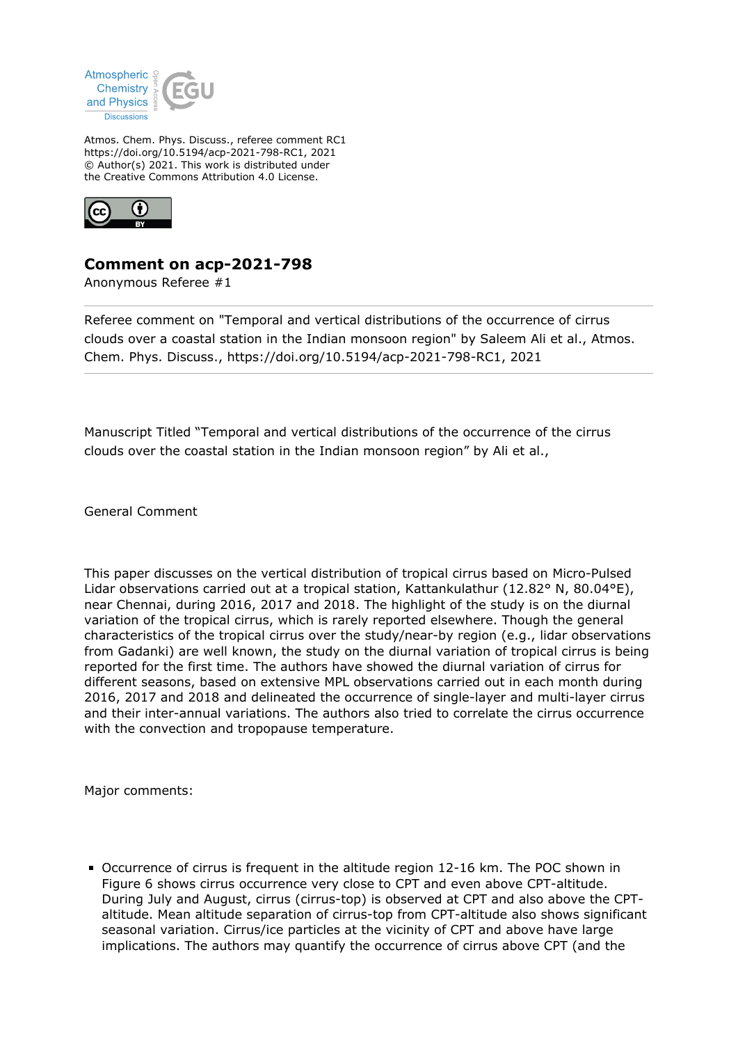

Atmos. Chem. Phys. Discuss., referee comment RC1 https://doi.org/10.5194/acp-2021-798-RC1, 2021 © Author(s) 2021. This work is distributed under the Creative Commons Attribution 4.0 License.



## **Comment on acp-2021-798**

Anonymous Referee #1

Referee comment on "Temporal and vertical distributions of the occurrence of cirrus clouds over a coastal station in the Indian monsoon region" by Saleem Ali et al., Atmos. Chem. Phys. Discuss., https://doi.org/10.5194/acp-2021-798-RC1, 2021

Manuscript Titled "Temporal and vertical distributions of the occurrence of the cirrus clouds over the coastal station in the Indian monsoon region" by Ali et al.,

General Comment

This paper discusses on the vertical distribution of tropical cirrus based on Micro-Pulsed Lidar observations carried out at a tropical station, Kattankulathur (12.82° N, 80.04°E), near Chennai, during 2016, 2017 and 2018. The highlight of the study is on the diurnal variation of the tropical cirrus, which is rarely reported elsewhere. Though the general characteristics of the tropical cirrus over the study/near-by region (e.g., lidar observations from Gadanki) are well known, the study on the diurnal variation of tropical cirrus is being reported for the first time. The authors have showed the diurnal variation of cirrus for different seasons, based on extensive MPL observations carried out in each month during 2016, 2017 and 2018 and delineated the occurrence of single-layer and multi-layer cirrus and their inter-annual variations. The authors also tried to correlate the cirrus occurrence with the convection and tropopause temperature.

Major comments:

Occurrence of cirrus is frequent in the altitude region 12-16 km. The POC shown in Figure 6 shows cirrus occurrence very close to CPT and even above CPT-altitude. During July and August, cirrus (cirrus-top) is observed at CPT and also above the CPTaltitude. Mean altitude separation of cirrus-top from CPT-altitude also shows significant seasonal variation. Cirrus/ice particles at the vicinity of CPT and above have large implications. The authors may quantify the occurrence of cirrus above CPT (and the